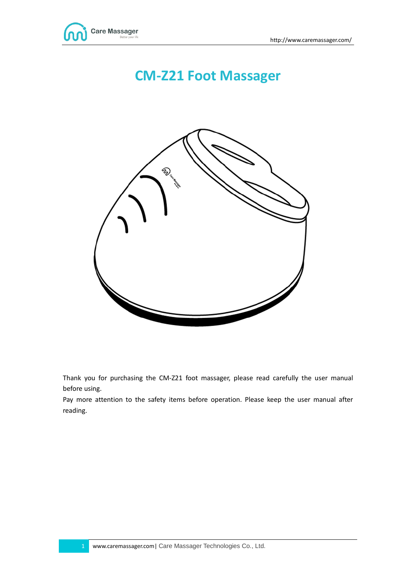

# **CM-Z21 Foot Massager**



Thank you for purchasing the CM-Z21 foot massager, please read carefully the user manual before using.

Pay more attention to the safety items before operation. Please keep the user manual after reading.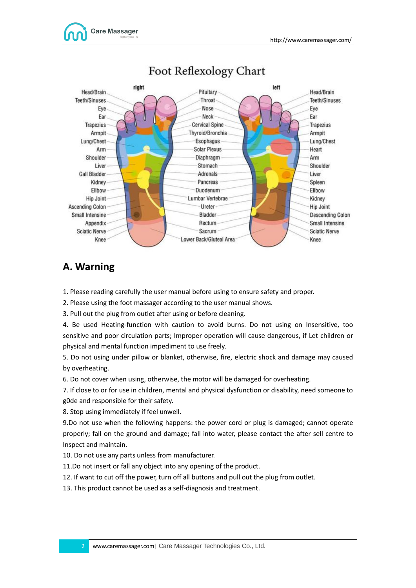

## Foot Reflexology Chart

### **A. Warning**

1. Please reading carefully the user manual before using to ensure safety and proper.

2. Please using the foot massager according to the user manual shows.

3. Pull out the plug from outlet after using or before cleaning.

4. Be used Heating-function with caution to avoid burns. Do not using on Insensitive, too sensitive and poor circulation parts; Improper operation will cause dangerous, if Let children or physical and mental function impediment to use freely.

5. Do not using under pillow or blanket, otherwise, fire, electric shock and damage may caused by overheating.

6. Do not cover when using, otherwise, the motor will be damaged for overheating.

7. If close to or for use in children, mental and physical dysfunction or disability, need someone to g0de and responsible for their safety.

8. Stop using immediately if feel unwell.

9.Do not use when the following happens: the power cord or plug is damaged; cannot operate properly; fall on the ground and damage; fall into water, please contact the after sell centre to Inspect and maintain.

10. Do not use any parts unless from manufacturer.

11.Do not insert or fall any object into any opening of the product.

12. If want to cut off the power, turn off all buttons and pull out the plug from outlet.

13. This product cannot be used as a self-diagnosis and treatment.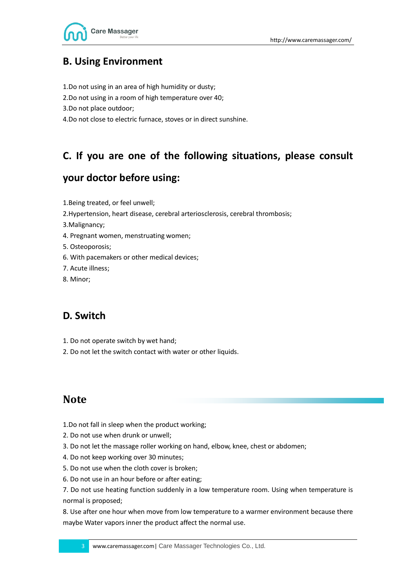



### **B. Using Environment**

1.Do not using in an area of high humidity or dusty;

2.Do not using in a room of high temperature over 40;

3.Do not place outdoor;

4.Do not close to electric furnace, stoves or in direct sunshine.

### **C. If you are one of the following situations, please consult**

### **your doctor before using:**

- 1.Being treated, or feel unwell;
- 2.Hypertension, heart disease, cerebral arteriosclerosis, cerebral thrombosis;

3.Malignancy;

- 4. Pregnant women, menstruating women;
- 5. Osteoporosis;
- 6. With pacemakers or other medical devices;
- 7. Acute illness;
- 8. Minor;

### **D. Switch**

- 1. Do not operate switch by wet hand;
- 2. Do not let the switch contact with water or other liquids.

### **Note**

- 1.Do not fall in sleep when the product working;
- 2. Do not use when drunk or unwell;
- 3. Do not let the massage roller working on hand, elbow, knee, chest or abdomen;
- 4. Do not keep working over 30 minutes;
- 5. Do not use when the cloth cover is broken;
- 6. Do not use in an hour before or after eating;
- 7. Do not use heating function suddenly in a low temperature room. Using when temperature is normal is proposed;

8. Use after one hour when move from low temperature to a warmer environment because there maybe Water vapors inner the product affect the normal use.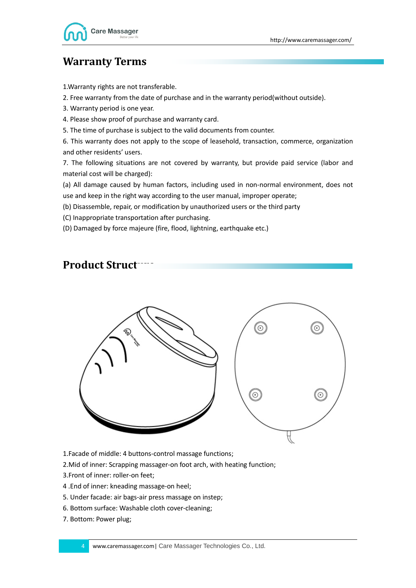## **Warranty Terms**

1.Warranty rights are not transferable.

2. Free warranty from the date of purchase and in the warranty period(without outside).

3. Warranty period is one year.

4. Please show proof of purchase and warranty card.

5. The time of purchase is subject to the valid documents from counter.

6. This warranty does not apply to the scope of leasehold, transaction, commerce, organization and other residents' users.

7. The following situations are not covered by warranty, but provide paid service (labor and material cost will be charged):

(a) All damage caused by human factors, including used in non-normal environment, does not use and keep in the right way according to the user manual, improper operate;

(b) Disassemble, repair, or modification by unauthorized users or the third party

(C) Inappropriate transportation after purchasing.

(D) Damaged by force majeure (fire, flood, lightning, earthquake etc.)

### **Product Struct**



1.Facade of middle: 4 buttons-control massage functions;

2.Mid of inner: Scrapping massager-on foot arch, with heating function;

3.Front of inner: roller-on feet;

- 4 .End of inner: kneading massage-on heel;
- 5. Under facade: air bags-air press massage on instep;
- 6. Bottom surface: Washable cloth cover-cleaning;
- 7. Bottom: Power plug;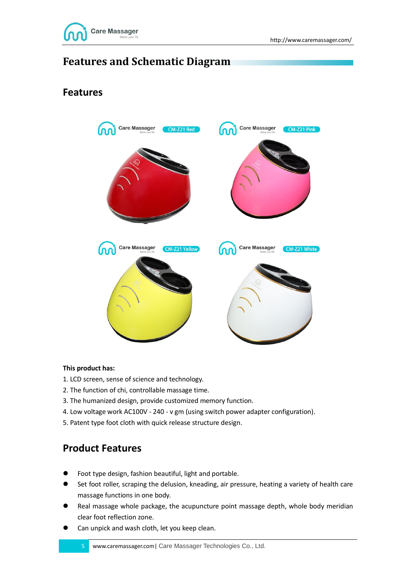

## **Features and Schematic Diagram**

### **Features**



#### **This product has:**

- 1. LCD screen, sense of science and technology.
- 2. The function of chi, controllable massage time.
- 3. The humanized design, provide customized memory function.
- 4. Low voltage work AC100V 240 v gm (using switch power adapter configuration).
- 5. Patent type foot cloth with quick release structure design.

### **Product Features**

- Foot type design, fashion beautiful, light and portable.
- Set foot roller, scraping the delusion, kneading, air pressure, heating a variety of health care massage functions in one body.
- Real massage whole package, the acupuncture point massage depth, whole body meridian clear foot reflection zone.
- Can unpick and wash cloth, let you keep clean.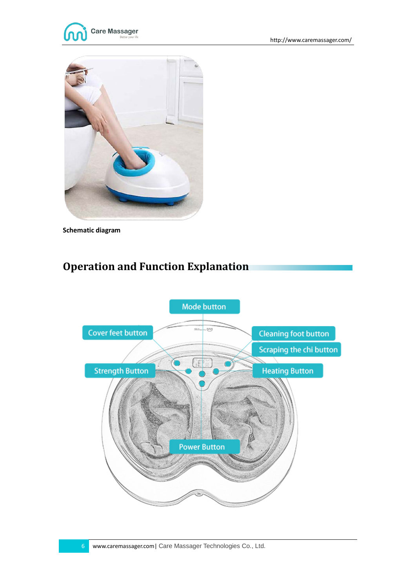



**Schematic diagram**

## **Operation and Function Explanation**

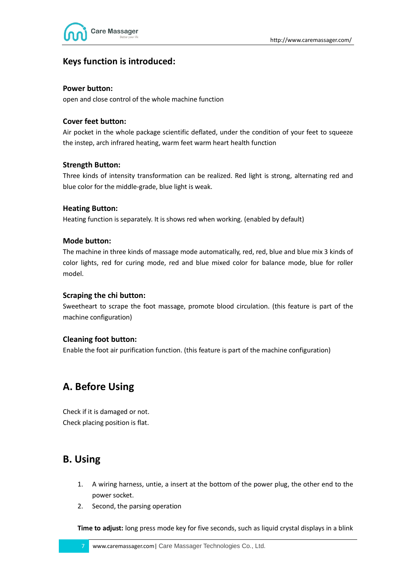



### **Keys function is introduced:**

#### **Power button:**

open and close control of the whole machine function

#### **Cover feet button:**

Air pocket in the whole package scientific deflated, under the condition of your feet to squeeze the instep, arch infrared heating, warm feet warm heart health function

#### **Strength Button:**

Three kinds of intensity transformation can be realized. Red light is strong, alternating red and blue color for the middle-grade, blue light is weak.

#### **Heating Button:**

Heating function is separately. It is shows red when working. (enabled by default)

#### **Mode button:**

The machine in three kinds of massage mode automatically, red, red, blue and blue mix 3 kinds of color lights, red for curing mode, red and blue mixed color for balance mode, blue for roller model.

#### **Scraping the chi button:**

Sweetheart to scrape the foot massage, promote blood circulation. (this feature is part of the machine configuration)

#### **Cleaning foot button:**

Enable the foot air purification function. (this feature is part of the machine configuration)

### **A. Before Using**

Check if it is damaged or not. Check placing position is flat.

### **B. Using**

- 1. A wiring harness, untie, a insert at the bottom of the power plug, the other end to the power socket.
- 2. Second, the parsing operation

**Time to adjust:** long press mode key for five seconds, such as liquid crystal displays in a blink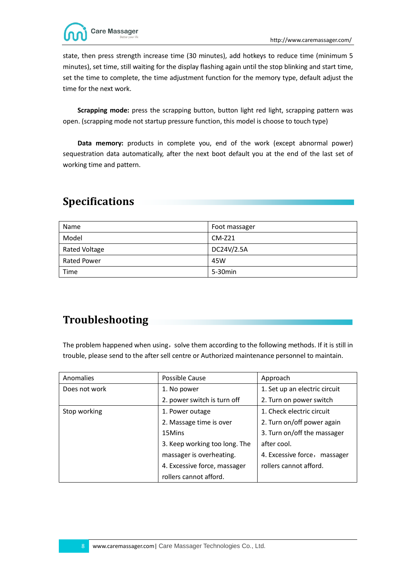

state, then press strength increase time (30 minutes), add hotkeys to reduce time (minimum 5 minutes), set time, still waiting for the display flashing again until the stop blinking and start time, set the time to complete, the time adjustment function for the memory type, default adjust the time for the next work.

**Scrapping mode:** press the scrapping button, button light red light, scrapping pattern was open. (scrapping mode not startup pressure function, this model is choose to touch type)

**Data memory:** products in complete you, end of the work (except abnormal power) sequestration data automatically, after the next boot default you at the end of the last set of working time and pattern.

## **Specifications**

| Name                 | Foot massager |
|----------------------|---------------|
| Model                | $CM-Z21$      |
| <b>Rated Voltage</b> | DC24V/2.5A    |
| Rated Power          | 45W           |
| Time                 | 5-30min       |

## **Troubleshooting**

The problem happened when using, solve them according to the following methods. If it is still in trouble, please send to the after sell centre or Authorized maintenance personnel to maintain.

| Anomalies     | Possible Cause                | Approach                        |
|---------------|-------------------------------|---------------------------------|
| Does not work | 1. No power                   | 1. Set up an electric circuit   |
|               | 2. power switch is turn off   | 2. Turn on power switch         |
| Stop working  | 1. Power outage               | 1. Check electric circuit       |
|               | 2. Massage time is over       | 2. Turn on/off power again      |
|               | 15Mins                        | 3. Turn on/off the massager     |
|               | 3. Keep working too long. The | after cool.                     |
|               | massager is overheating.      | 4. Excessive force,<br>massager |
|               | 4. Excessive force, massager  | rollers cannot afford.          |
|               | rollers cannot afford.        |                                 |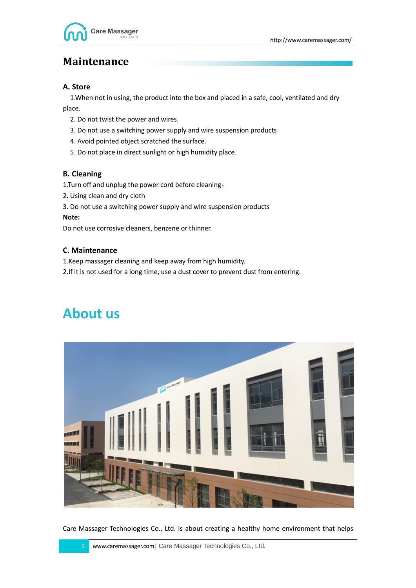

## **Maintenance**

#### **A. Store**

 1.When not in using, the product into the box and placed in a safe, cool, ventilated and dry place.

- 2. Do not twist the power and wires.
- 3. Do not use a switching power supply and wire suspension products
- 4. Avoid pointed object scratched the surface.
- 5. Do not place in direct sunlight or high humidity place.

#### **B. Cleaning**

1.Turn off and unplug the power cord before cleaning,

- 2. Using clean and dry cloth
- 3. Do not use a switching power supply and wire suspension products

#### **Note:**

Do not use corrosive cleaners, benzene or thinner.

#### **C. Maintenance**

1.Keep massager cleaning and keep away from high humidity.

2.If it is not used for a long time, use a dust cover to prevent dust from entering.

## **About us**



Care Massager Technologies Co., Ltd. is about creating a healthy home environment that helps